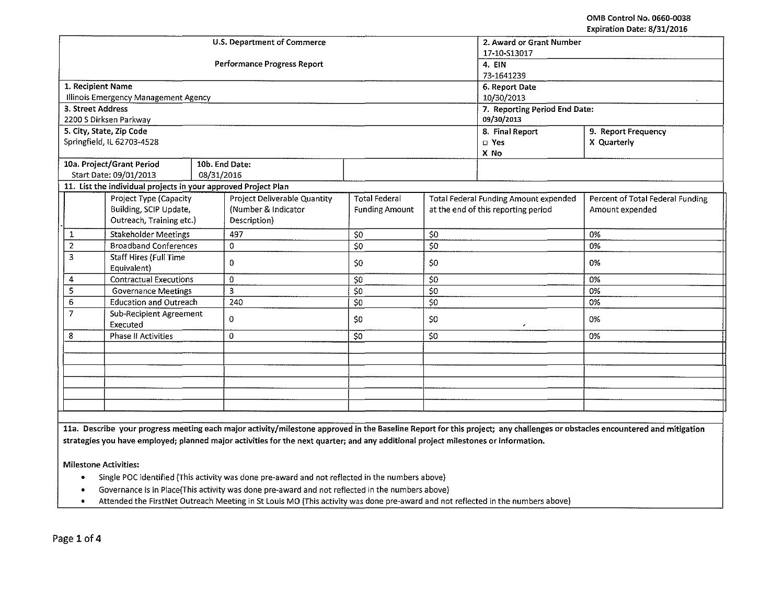|                   |                                                                |            | U.S. Department of Commerce  | 2. Award or Grant Number      |                                     |                                              |                                  |  |
|-------------------|----------------------------------------------------------------|------------|------------------------------|-------------------------------|-------------------------------------|----------------------------------------------|----------------------------------|--|
|                   |                                                                |            |                              | 17-10-S13017                  |                                     |                                              |                                  |  |
|                   |                                                                |            | Performance Progress Report  | 4. EIN                        |                                     |                                              |                                  |  |
|                   |                                                                |            |                              | 73-1641239                    |                                     |                                              |                                  |  |
| 1. Recipient Name |                                                                |            |                              |                               |                                     | 6. Report Date                               |                                  |  |
|                   | Illinois Emergency Management Agency                           |            |                              | 10/30/2013                    |                                     |                                              |                                  |  |
| 3. Street Address |                                                                |            |                              | 7. Reporting Period End Date: |                                     |                                              |                                  |  |
|                   | 2200 S Dirksen Parkway                                         |            |                              | 09/30/2013                    |                                     |                                              |                                  |  |
|                   | 5. City, State, Zip Code                                       |            |                              |                               |                                     | 8. Final Report                              | 9. Report Frequency              |  |
|                   | Springfield, IL 62703-4528                                     |            |                              |                               |                                     | $\square$ Yes                                | X Quarterly                      |  |
|                   |                                                                |            |                              |                               |                                     | X No                                         |                                  |  |
|                   | 10a. Project/Grant Period                                      |            | 10b. End Date:               |                               |                                     |                                              |                                  |  |
|                   | Start Date: 09/01/2013                                         | 08/31/2016 |                              |                               |                                     |                                              |                                  |  |
|                   | 11. List the individual projects in your approved Project Plan |            |                              |                               |                                     |                                              |                                  |  |
|                   | Project Type (Capacity                                         |            | Project Deliverable Quantity | <b>Total Federal</b>          |                                     | <b>Total Federal Funding Amount expended</b> | Percent of Total Federal Funding |  |
|                   | Building, SCIP Update,                                         |            | (Number & Indicator          | <b>Funding Amount</b>         | at the end of this reporting period |                                              | Amount expended                  |  |
|                   | Outreach, Training etc.)                                       |            | Description)                 |                               |                                     |                                              |                                  |  |
| 1                 | <b>Stakeholder Meetings</b>                                    |            | 497                          | \$0                           | \$0                                 |                                              | 0%                               |  |
| $\overline{2}$    | <b>Broadband Conferences</b>                                   |            | $\mathbf{0}$                 | $\overline{50}$               | 50                                  |                                              | 0%                               |  |
| 3                 | Staff Hires (Full Time                                         |            | 0.                           | \$0                           | \$0                                 |                                              | 0%                               |  |
|                   | Equivalent)                                                    |            |                              |                               |                                     |                                              |                                  |  |
| 4                 | <b>Contractual Executions</b>                                  |            | $\Omega$                     | 50                            | \$0                                 |                                              | 0%                               |  |
| 5                 | <b>Governance Meetings</b>                                     |            | 3                            | 50                            | 50                                  |                                              | 0%                               |  |
| $\overline{6}$    | <b>Education and Outreach</b>                                  |            | 240                          | \$0                           | \$0                                 |                                              | 0%                               |  |
| $\overline{7}$    | Sub-Recipient Agreement<br>Executed                            |            | 0                            | 50                            | \$0<br>٠                            |                                              | 0%                               |  |
| 8                 | Phase II Activities                                            |            | 0                            | \$0                           | \$0                                 |                                              | 0%                               |  |
|                   |                                                                |            |                              |                               |                                     |                                              |                                  |  |
|                   |                                                                |            |                              |                               |                                     |                                              |                                  |  |
|                   |                                                                |            |                              |                               |                                     |                                              |                                  |  |
|                   |                                                                |            |                              |                               |                                     |                                              |                                  |  |
|                   |                                                                |            |                              |                               |                                     |                                              |                                  |  |
|                   |                                                                |            |                              |                               |                                     |                                              |                                  |  |
|                   |                                                                |            |                              |                               |                                     |                                              |                                  |  |

11a. Describe your progress meeting each major activity/milestone approved in the Baseline Report for this project; any challenges or obstacles encountered and mitigation strategies you have employed; planned major activities for the next quarter; and any additional project milestones or information.

Milestone Activities:

- Single POC identified (This activity was done pre-award and not reflected in the numbers above)
- Governance is in Place(This activity was done pre-award and not reflected in the numbers above)<br>• Attended the FirstNet Outreach Meeting in St Louis MO (This activity was done pre-award and not
- Attended the FirstNet Outreach Meeting in StLouis MO (This activity was done pre-award and not reflected in the numbers above)

Page 1 of 4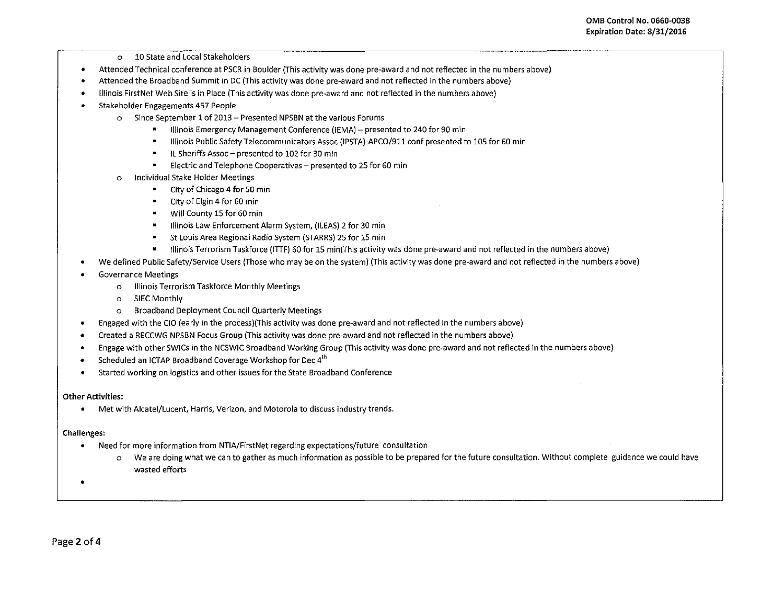- o 10 State and Local Stakeholders
- Attended Technical conference at PSCR in Boulder {This activity was done pre-award and not reflected in the numbers above)
- Attended the Broadband Summit in DC {This activity was done pre-award and not reflected in the numbers above)
- Illinois FirstNet Web Site is in Place (This activity was done pre-award and not reflected in the numbers above)
- Stakeholder Engagements 457 People
	- o Since September 1 of 2013- Presented NPSBN at the various Forums
		- Illinois Emergency Management Conference {lEMA)- presented to 240 for 90 min
		- Illinois Public Safety Telecommunicators Assoc (IPSTA)-APCO/911 conf presented to 105 for 60 min  $\blacksquare$
		- IL Sheriffs Assoc- presented to 102 for 30 min
		- $\blacksquare$ Electric and Telephone Cooperatives- presented to 25 for 60 min
	- o Individual Stake Holder Meetings
		- City of Chicago 4 for 50 min
		- City of Elgin 4 for 60 min  $\blacksquare$
		- Will County 15 for 60 min
		- Illinois Law Enforcement Alarm System, (ILEAS) 2 for 30 min  $\blacksquare$
		- StLouis Area Regional Radio System (STARRS) 25 for 15 min
		- Illinois Terrorism Taskforce (ITTF) 60 for 15 min(This activity was done pre~award and not reflected in the numbers above)
- We defined Public Safety/Service Users (Those who may be on the system) (This activity was done pre~award and not reflected in the numbers above)
- Governance Meetings
	- o Illinois Terrorism Taskforce Monthly Meetings
	- o SIEC Monthly
	- o Broadband Deployment Council Quarterly Meetings
- Engaged with the CIO (early in the process)(This activity was done pre-award and not reflected in the numbers above)
- Created a RECCWG NPSBN Focus Group (This activity was done pre~award and not reflected in the numbers above)
- Engage with other SWICs in the NCSWIC Broadband Working Group (This activity was done pre~award and not reflected in the numbers above)
- Scheduled an ICTAP Broadband Coverage Workshop for Dec  $4<sup>th</sup>$
- Started working on logistics and other issues for the State Broadband Conference

## **Other Activities:**

• Met with Alcatei/Lucent, Harris, Verizon, and Motorola to discuss industry trends.

## Challenges:

- Need for more information from NTIA/FirstNet regarding expectations/future consultation
	- o We are doing what we can to gather as much information as possible to be prepared for the future consultation. Without complete guidance we could have wasted efforts

•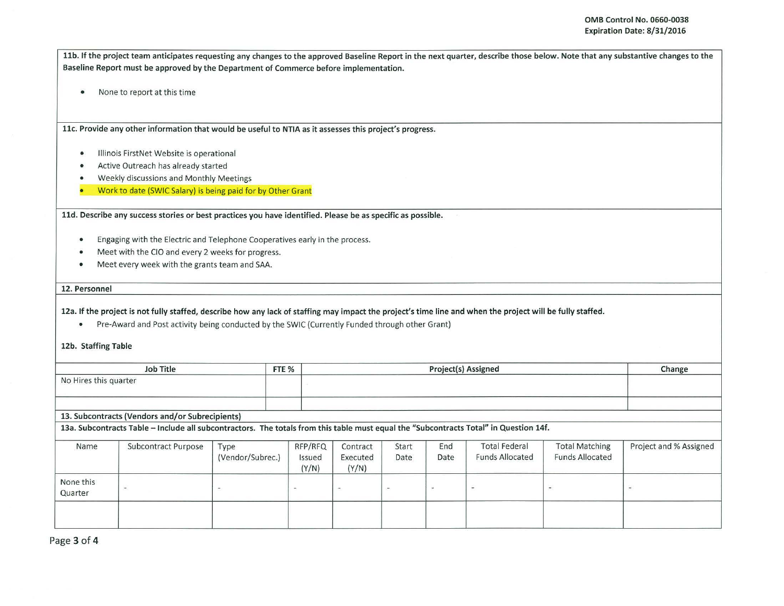11b. If the project team anticipates requesting any changes to the approved Baseline Report in the next quarter, describe those below. Note that any substantive changes to the Baseline Report must be approved by the Department of Commerce before implementation.

• None to report at this time

11c. Provide any other information that would be useful to NTIA as it assesses this project's progress.

- Illinois FirstNet Website is operational
- Active Outreach has already started
- Weekly discussions and Monthly Meetings
- Work to date (SWIC Salary) is being paid for by Other Grant

11d. Describe any success stories or best practices you have identified. Please be as specific as possible.

- Engaging with the Electric and Telephone Cooperatives early in the process.
- Meet with the CIO and every 2 weeks for progress.
- Meet every week with the grants team and SAA.

## 12. Personnel

12a. If the project is not fully staffed, describe how any lack of staffing may impact the project 's time line and when the project will be fully staffed.

• Pre-Award and Post activity being conducted by the SWIC (Currently Funded through other Grant)

12b. Staffing Table

| Job Title<br>FTE <sub>%</sub> |                                                                                                                                                                                          |                          |                            |                               | Change        |             |                                                |                                                 |                          |
|-------------------------------|------------------------------------------------------------------------------------------------------------------------------------------------------------------------------------------|--------------------------|----------------------------|-------------------------------|---------------|-------------|------------------------------------------------|-------------------------------------------------|--------------------------|
| No Hires this quarter         |                                                                                                                                                                                          |                          |                            |                               |               |             |                                                |                                                 |                          |
|                               | 13. Subcontracts (Vendors and/or Subrecipients)<br>13a. Subcontracts Table - Include all subcontractors. The totals from this table must equal the "Subcontracts Total" in Question 14f. |                          |                            |                               |               |             |                                                |                                                 |                          |
| Name                          | Subcontract Purpose                                                                                                                                                                      | Type<br>(Vendor/Subrec.) | RFP/RFQ<br>Issued<br>(Y/N) | Contract<br>Executed<br>(Y/N) | Start<br>Date | End<br>Date | <b>Total Federal</b><br><b>Funds Allocated</b> | <b>Total Matching</b><br><b>Funds Allocated</b> | Project and % Assigned   |
| None this<br>Quarter          | $\overline{\phantom{a}}$                                                                                                                                                                 | $\sim$                   | ۰                          | $\overline{\phantom{a}}$      |               | $\sim$      | $\overline{\phantom{a}}$                       | $\frac{1}{\sqrt{2}}$                            | $\overline{\phantom{a}}$ |
|                               |                                                                                                                                                                                          |                          |                            |                               |               |             |                                                |                                                 |                          |

Page 3 of 4